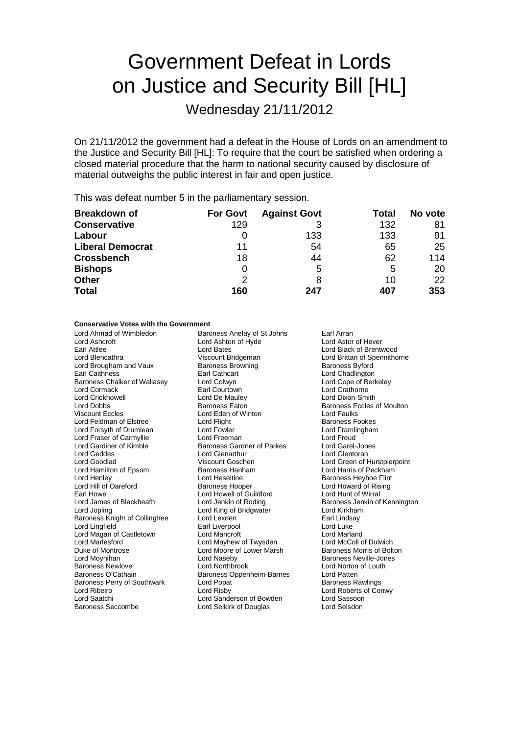# Government Defeat in Lords on Justice and Security Bill [HL]

Wednesday 21/11/2012

On 21/11/2012 the government had a defeat in the House of Lords on an amendment to the Justice and Security Bill [HL]: To require that the court be satisfied when ordering a closed material procedure that the harm to national security caused by disclosure of material outweighs the public interest in fair and open justice.

This was defeat number 5 in the parliamentary session.

| <b>Breakdown of</b>     | <b>For Govt</b> | <b>Against Govt</b> | Total | No vote |
|-------------------------|-----------------|---------------------|-------|---------|
| <b>Conservative</b>     | 129             |                     | 132   | 81      |
| Labour                  |                 | 133                 | 133   | 91      |
| <b>Liberal Democrat</b> | 11              | 54                  | 65    | 25      |
| <b>Crossbench</b>       | 18              | 44                  | 62    | 114     |
| <b>Bishops</b>          | 0               | 5                   | 5     | 20      |
| <b>Other</b>            | $\mathcal{P}$   | 8                   | 10    | 22      |
| <b>Total</b>            | 160             | 247                 | 407   | 353     |

#### **Conservative Votes with the Government**

| Lord Ahmad of Wimbledon        | Baroness Anelay of St Johns | Earl Arran                        |  |
|--------------------------------|-----------------------------|-----------------------------------|--|
| Lord Ashcroft                  | Lord Ashton of Hyde         | Lord Astor of Hever               |  |
| Earl Attlee                    | Lord Bates                  | Lord Black of Brentwood           |  |
| Lord Blencathra                | Viscount Bridgeman          | Lord Brittan of Spennithorne      |  |
| Lord Brougham and Vaux         | <b>Baroness Browning</b>    | <b>Baroness Byford</b>            |  |
| <b>Earl Caithness</b>          | Earl Cathcart               | Lord Chadlington                  |  |
| Baroness Chalker of Wallasey   | Lord Colwyn                 | Lord Cope of Berkeley             |  |
| Lord Cormack                   | Earl Courtown               | Lord Crathorne                    |  |
| Lord Crickhowell               | Lord De Mauley              | Lord Dixon-Smith                  |  |
| Lord Dobbs                     | <b>Baroness Eaton</b>       | <b>Baroness Eccles of Moulton</b> |  |
| <b>Viscount Eccles</b>         | Lord Eden of Winton         | Lord Faulks                       |  |
| Lord Feldman of Elstree        | Lord Flight                 | <b>Baroness Fookes</b>            |  |
| Lord Forsyth of Drumlean       | Lord Fowler                 | Lord Framlingham                  |  |
| Lord Fraser of Carmyllie       | Lord Freeman                | <b>Lord Freud</b>                 |  |
| Lord Gardiner of Kimble        | Baroness Gardner of Parkes  | Lord Garel-Jones                  |  |
| Lord Geddes                    | Lord Glenarthur             | Lord Glentoran                    |  |
| Lord Goodlad                   | Viscount Goschen            | Lord Green of Hurstpierpoint      |  |
| Lord Hamilton of Epsom         | <b>Baroness Hanham</b>      | Lord Harris of Peckham            |  |
| Lord Henley                    | Lord Heseltine              | <b>Baroness Heyhoe Flint</b>      |  |
| Lord Hill of Oareford          | <b>Baroness Hooper</b>      | Lord Howard of Rising             |  |
| Earl Howe                      | Lord Howell of Guildford    | Lord Hunt of Wirral               |  |
| Lord James of Blackheath       | Lord Jenkin of Roding       | Baroness Jenkin of Kennington     |  |
| Lord Jopling                   | Lord King of Bridgwater     | Lord Kirkham                      |  |
| Baroness Knight of Collingtree | Lord Lexden                 | Earl Lindsay                      |  |
| Lord Lingfield                 | Earl Liverpool              | Lord Luke                         |  |
| Lord Magan of Castletown       | Lord Mancroft               | Lord Marland                      |  |
| <b>Lord Marlesford</b>         | Lord Mayhew of Twysden      | Lord McColl of Dulwich            |  |
| Duke of Montrose               | Lord Moore of Lower Marsh   | Baroness Morris of Bolton         |  |
| Lord Moynihan                  | Lord Naseby                 | Baroness Neville-Jones            |  |
| <b>Baroness Newlove</b>        | <b>Lord Northbrook</b>      | Lord Norton of Louth              |  |
| Baroness O'Cathain             | Baroness Oppenheim-Barnes   | Lord Patten                       |  |
| Baroness Perry of Southwark    | Lord Popat                  | <b>Baroness Rawlings</b>          |  |
| Lord Ribeiro                   | Lord Risby                  | Lord Roberts of Conwy             |  |
| Lord Saatchi                   | Lord Sanderson of Bowden    | Lord Sassoon                      |  |
| Baroness Seccombe              | Lord Selkirk of Douglas     | Lord Selsdon                      |  |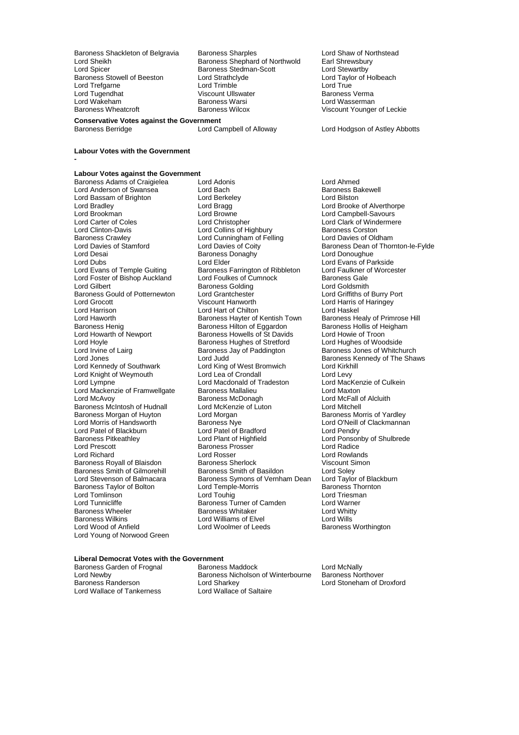Lord Sheikh **Baroness Shephard of Northwold** Earl Shrewsbury<br>
Lord Spicer Baroness Stedman-Scott Lord Stewartby<br>
Baroness Stowell of Beeston Lord Strathclyde Lord Taylor of Holbeach Baroness Stowell of Beeston Lord Strathclyde Lord Taylor Cord Taylor Cord True<br>
Lord Trefaarne Lord True Lord True Lord Trefgarne Lord Trimble Lord True Lord Wakeham **Baroness Warsi**<br>
Baroness Wheatcroft **Baroness Wilcox** 

Baroness Shackleton of Belgravia Baroness Sharples Lord Shaw of Northstead<br>
Lord Sheikh Baroness Shephard of Northwold Earl Shrewsbury Baroness Stedman-Scott<br>Lord Strathclyde Viscount Ullswater **Channel Baroness Verman**<br>Baroness Warsi Baroness Verman

**Conservative Votes against the Government**

#### **Labour Votes with the Government**

**-**

## **Labour Votes against the Government**

Lord Bassam of Brighton Lord Berkel<br>
Lord Bradley Cord Bragg Baroness Crawley **Lord Cunningham of Felling**<br>
Lord Davies of Stamford Lord Davies of Coity Lord Desai Baroness Donaghy<br>
Lord Dubs<br>
Lord Elder Baroness Gould of Potternewton Lord Grantchester<br>
Lord Grocott Cord Burry Porter Porter Burry Porter Lord Hoyle **Baroness Hughes of Stretford**<br>
Lord Irvine of Lairg<br>
Baroness Jay of Paddington Baroness Morgan of Huyton<br>Lord Morris of Handsworth Lord Patel of Blackburn Lord Patel of Bradford<br>
Baroness Pitkeathley Lord Plant of Highfield Lord Young of Norwood Green

Baroness Adams of Craigielea Lord Adonis Lord Ahmed Lord Anderson of Swansea Lord Bach Baroness Baroness Baroness Baroness Baroness Baroness Baroness Baroness Baroness Baroness Baroness Baroness Baroness Baroness Baroness Baroness Baroness Baroness Baroness Baroness Barones Lord Bradley **Lord Bradley Community Community** Lord Brooke of Alverthorpe Lord Brooke of Alverthorpe Lord Brooke of Alverthorpe Lord Brooke at a Lord Brooke and Turn and Turn and Turn and Turn and Turn and Turn and Turn a Lord Brookman Lord Browne Lord Campbell-Savours Lord Carter of Coles **Lord Christopher** Lord Clark of Windermere<br>
Lord Clinton-Davis **Lord Collins of Highbury** Baroness Corston Lord Clinton-Davis **Lord Collins of Highbury** Baroness Corston<br>
Baroness Crawley **Baroness Crawley** Lord Cunningham of Felling Lord Davies of Oldham Lord Davies of Stamford Lord Davies of Coity<br>
Lord Dean of Thornton-le-Fylde<br>
Lord Dean Lord Donoughue<br>
Lord Dean of Thornton-le-Fylde Lord Dubs<br>
Lord Evans of Temple Guiting Lord Elder Lord Ribbleton Lord Evans of Parkside<br>
Lord Evans of Temple Guiting Baroness Farrington of Ribbleton Lord Faulkner of Worcester Lord Evans of Temple Guiting **Baroness Farrington of Ribbleton** Lord Faulkner of Worcester Lord Foster of Bishop Auckland Lord Foulkes of Cumnock Baroness Gale Lord Gilbert **Constanting Constructs** Baroness Golding **Lord Goldsmith**<br>
Baroness Gould of Potternewton **Lord Grantchester Lord Griffiths of Burry Port** Lord Grocott **Calcular Control Control Control Control Control Control Control Control Control Control Control Control Control Control Control Control Control Control Control Control Control Control Control Control Control** Lord Harrison **Lord Hart of Chilton Corporation** Lord Haskel<br>Lord Haworth **Corporation Corporation Corporation** Lord Haskel Lord Haworth Lord Haskel Corporation Baroness Healy of Primrose Hill Lord Haworth **Baroness Hayter of Kentish Town** Baroness Healy of Primrose Baroness Healy of Primrose Baroness Hilton of Equardon<br>Baroness Henig **Baroness Hilton of Equardon** Baroness Hollis of Heigham Baroness Henig **Baroness Henig Baroness Hilton of Eggardon** Baroness Hollis of Heigham Baroness Hollis of Heigham<br>Baroness Howells of St Davids Lord Howie of Troon Lord Howarth of Newport Baroness Howells of St Davids Lord Howie of Troon<br>
Lord Hoyle Cord Hughes of Woodside<br>
Lord Hughes of Woodside Lord Irvine of Lairg **Baroness Jay of Paddington** Baroness Jones of Whitchurch<br>Lord Jones **Barones Contained Baroness Kennedy of The Sha** Lord Jones Corresponding Lord Judd Baroness Kennedy of The Shaws<br>
Lord Kennedy of Southwark Lord King of West Bromwich Lord Kirkhill Lord King of West Bromwich Lord Kirkhill<br>Lord Lea of Crondall Lord Levy Lord Knight of Weymouth Lord Lea of Crondall Lord Lord Lord Levy<br>
Lord Lympne Culkein<br>
Lord Macconald of Tradeston Lord MacKenzie of Culkein Lord Macdonald of Tradeston Lord MacKer<br>Baroness Mallalieu Lord Maxton Lord Mackenzie of Framwellgate Baroness Mallalieu Mackenzie Lord Maxton<br>Lord McAvoy Baroness McDonagh Macroness McDonagh Lord McFall of Alcluith Baroness McDonagh **Lord McFall of Alcluith Lord McFall of Alcluith**<br>
Lord McKenzie of Luton **Lord Mitchell** Baroness McIntosh of Hudnall Lord McKenzie of Luton Lord Mitchell Lord Morris of Handsworth **Baroness Nye** Lord O'Neill of Clackmannan<br>
Lord Patel of Blackburn Lord Patel of Bradford Lord Pendry Baroness Pitkeathley **Lord Plant of Highfield** Hight Lord Ponsonby of Shulbrede<br>
Lord Prescott **Lord Ponsonby Consoling Consoling Press** Prosser **Lord Radice** Exercises Prosser Exercise Cord Radice<br>
Lord Rosser Lord Rowlands Lord Richard **Communist Communist Communist Communist Communist Communist Communist Communist Communist Communist Communist Communist Communist Communist Communist Communist Communist Communist Communist Communist Communis** Baroness Royall of Blaisdon Baroness Sherlock Viscount Simoness Sherlock Viscount Simoness Smith of Gilmorehill Baroness Smith of Basildon Baroness Smith of Gilmorehill Baroness Smith of Basildon Lord Soley<br>
Lord Stevenson of Balmacara Baroness Symons of Vernham Dean Lord Taylor of Blackburn Baroness Symons of Vernham Dean Lord Taylor of Black<br>Lord Temple-Morris Baroness Thornton Baroness Taylor of Bolton **Example-Morthum Lord Temple-Morris** Baroness Thornton Baroness Thornton Lord Triesman<br>
Lord Tourinson Lord Touhig Lord Tomlinson and Lord Touhig Lord Touhig Lord Triesman Lord Triesman Lord Triesman<br>Lord Tunnicliffe Lord Warner Baroness Turner of Camden Lord Warner Lord Tunnicliffe **Baroness Turner of Camden** Lord Warner Baroness Wheeler **Baroness Whitaker** Lord Whitty Baroness Wheeler The Baroness Whitaker Lord Whitt<br>Baroness Wilkins Cord Williams of Elvel The Lord Wills Baroness Wilkins **Election Control Lord Williams of Elvel** Lord Wills<br>
Lord Wood of Anfield **Lord Woolmer of Leeds** Baroness Worthington Lord Woolmer of Leeds

Viscount Younger of Leckie

Lord Hodgson of Astley Abbotts

### **Liberal Democrat Votes with the Government**

Lord Wallace of Tankerness

Baroness Garden of Frognal Baroness Maddock Baroness Cord McNally<br>
Lord Newby Baroness Nicholson of Winterbourne Baroness Northover Lord Newby **Baroness Nicholson of Winterbourne**<br>
Baroness Randerson<br>
Lord Sharkey Lord Sharkey<br>
Lord Wallace of Saltaire<br>
Lord Wallace of Saltaire